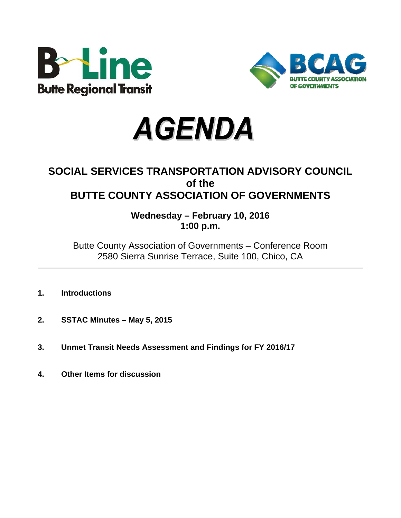





# **SOCIAL SERVICES TRANSPORTATION ADVISORY COUNCIL of the BUTTE COUNTY ASSOCIATION OF GOVERNMENTS**

**Wednesday – February 10, 2016 1:00 p.m.**

Butte County Association of Governments – Conference Room 2580 Sierra Sunrise Terrace, Suite 100, Chico, CA

- **1. Introductions**
- **2. SSTAC Minutes May 5, 2015**
- **3. Unmet Transit Needs Assessment and Findings for FY 2016/17**
- **4. Other Items for discussion**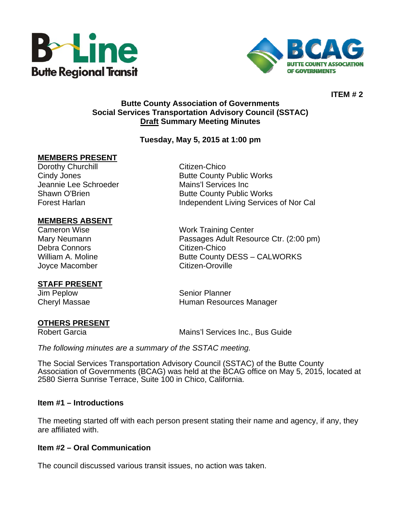



**ITEM # 2** 

## **Butte County Association of Governments Social Services Transportation Advisory Council (SSTAC) Draft Summary Meeting Minutes**

## **Tuesday, May 5, 2015 at 1:00 pm**

#### **MEMBERS PRESENT**

Dorothy Churchill **Citizen-Chico** Jeannie Lee Schroeder Mains'l Services Inc

# **MEMBERS ABSENT**

Debra Connors **Citizen-Chico** Joyce Macomber Citizen-Oroville

## **STAFF PRESENT**

#### **OTHERS PRESENT**

Cindy Jones **Butte County Public Works** Shawn O'Brien **Butte County Public Works** Forest Harlan **Independent Living Services of Nor Cal** 

Cameron Wise Work Training Center Mary Neumann Passages Adult Resource Ctr. (2:00 pm) William A. Moline **Butte County DESS – CALWORKS** 

Jim Peplow Senior Planner Cheryl Massae **Human Resources Manager Human Resources Manager** 

Robert Garcia **Mains'l Services Inc., Bus Guide** 

*The following minutes are a summary of the SSTAC meeting.* 

The Social Services Transportation Advisory Council (SSTAC) of the Butte County Association of Governments (BCAG) was held at the BCAG office on May 5, 2015, located at 2580 Sierra Sunrise Terrace, Suite 100 in Chico, California.

#### **Item #1 – Introductions**

The meeting started off with each person present stating their name and agency, if any, they are affiliated with.

#### **Item #2 – Oral Communication**

The council discussed various transit issues, no action was taken.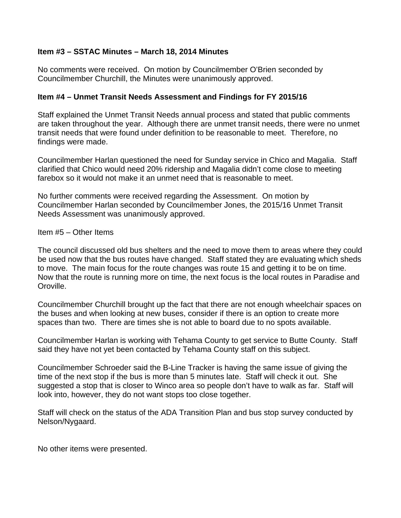#### **Item #3 – SSTAC Minutes – March 18, 2014 Minutes**

No comments were received. On motion by Councilmember O'Brien seconded by Councilmember Churchill, the Minutes were unanimously approved.

### **Item #4 – Unmet Transit Needs Assessment and Findings for FY 2015/16**

Staff explained the Unmet Transit Needs annual process and stated that public comments are taken throughout the year. Although there are unmet transit needs, there were no unmet transit needs that were found under definition to be reasonable to meet. Therefore, no findings were made.

Councilmember Harlan questioned the need for Sunday service in Chico and Magalia. Staff clarified that Chico would need 20% ridership and Magalia didn't come close to meeting farebox so it would not make it an unmet need that is reasonable to meet.

No further comments were received regarding the Assessment. On motion by Councilmember Harlan seconded by Councilmember Jones, the 2015/16 Unmet Transit Needs Assessment was unanimously approved.

Item #5 – Other Items

The council discussed old bus shelters and the need to move them to areas where they could be used now that the bus routes have changed. Staff stated they are evaluating which sheds to move. The main focus for the route changes was route 15 and getting it to be on time. Now that the route is running more on time, the next focus is the local routes in Paradise and Oroville.

Councilmember Churchill brought up the fact that there are not enough wheelchair spaces on the buses and when looking at new buses, consider if there is an option to create more spaces than two. There are times she is not able to board due to no spots available.

Councilmember Harlan is working with Tehama County to get service to Butte County. Staff said they have not yet been contacted by Tehama County staff on this subject.

Councilmember Schroeder said the B-Line Tracker is having the same issue of giving the time of the next stop if the bus is more than 5 minutes late. Staff will check it out. She suggested a stop that is closer to Winco area so people don't have to walk as far. Staff will look into, however, they do not want stops too close together.

Staff will check on the status of the ADA Transition Plan and bus stop survey conducted by Nelson/Nygaard.

No other items were presented.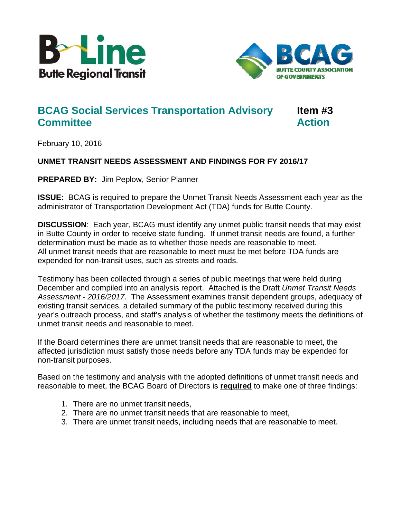



# **BCAG Social Services Transportation Advisory Item #3 Committee Action Action**

February 10, 2016

# **UNMET TRANSIT NEEDS ASSESSMENT AND FINDINGS FOR FY 2016/17**

**PREPARED BY:** Jim Peplow, Senior Planner

**ISSUE:** BCAG is required to prepare the Unmet Transit Needs Assessment each year as the administrator of Transportation Development Act (TDA) funds for Butte County.

**DISCUSSION**: Each year, BCAG must identify any unmet public transit needs that may exist in Butte County in order to receive state funding. If unmet transit needs are found, a further determination must be made as to whether those needs are reasonable to meet. All unmet transit needs that are reasonable to meet must be met before TDA funds are expended for non-transit uses, such as streets and roads.

Testimony has been collected through a series of public meetings that were held during December and compiled into an analysis report. Attached is the Draft *Unmet Transit Needs Assessment - 2016/2017*. The Assessment examines transit dependent groups, adequacy of existing transit services, a detailed summary of the public testimony received during this year's outreach process, and staff's analysis of whether the testimony meets the definitions of unmet transit needs and reasonable to meet.

If the Board determines there are unmet transit needs that are reasonable to meet, the affected jurisdiction must satisfy those needs before any TDA funds may be expended for non-transit purposes.

Based on the testimony and analysis with the adopted definitions of unmet transit needs and reasonable to meet, the BCAG Board of Directors is **required** to make one of three findings:

- 1. There are no unmet transit needs,
- 2. There are no unmet transit needs that are reasonable to meet,
- 3. There are unmet transit needs, including needs that are reasonable to meet.